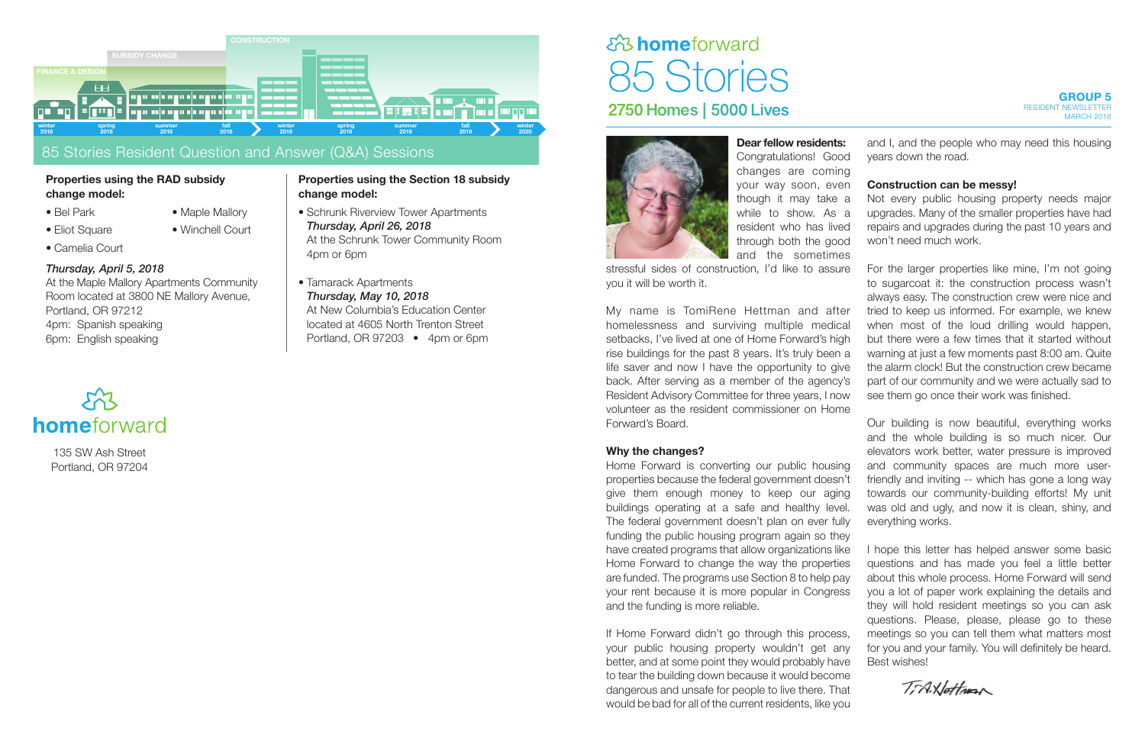

**Dear fellow residents:**  Congratulations! Goo changes are coming your way soon, eve though it may take while to show. As resident who has live through both the god and the sometime

stressful sides of construction. I'd like to assure you it will be worth it.

My name is TomiRene Hettman and after homelessness and surviving multiple medical setbacks, I've lived at one of Home Forward's high rise buildings for the past 8 years. It's truly been a life saver and now I have the opportunity to give back. After serving as a member of the agency Resident Advisory Committee for three years, I no volunteer as the resident commissioner on Home Forward's Board.

#### **Why the changes?**

Home Forward is converting our public housing properties because the federal government doesn't give them enough money to keep our aging buildings operating at a safe and healthy level. The federal government doesn't plan on ever fully funding the public housing program again so they have created programs that allow organizations like Home Forward to change the way the properties are funded. The programs use Section 8 to help pay your rent because it is more popular in Congress and the funding is more reliable.

If Home Forward didn't go through this process, your public housing property wouldn't get any better, and at some point they would probably have to tear the building down because it would become dangerous and unsafe for people to live there. That would be bad for all of the current residents, like you

| š:  | and I, and the people who may need this housing    |
|-----|----------------------------------------------------|
| do  | years down the road.                               |
| ηġ  |                                                    |
| θIJ | <b>Construction can be messy!</b>                  |
| a   | Not every public housing property needs major      |
| a   | upgrades. Many of the smaller properties have had  |
| эd  | repairs and upgrades during the past 10 years and  |
| do  | won't need much work.                              |
| ЭS  |                                                    |
| re  | For the larger properties like mine, I'm not going |
|     | to sugarcoat it: the construction process wasn't   |
|     | always easy. The construction crew were nice and   |
| er  | tried to keep us informed. For example, we knew    |
| al: | when most of the loud drilling would happen,       |
| gh  | but there were a few times that it started without |
| a   | warning at just a few moments past 8:00 am. Quite  |
| ve  | the alarm clock! But the construction crew became  |
| 's  | part of our community and we were actually sad to  |
| W   | see them go once their work was finished.          |
| Je  |                                                    |
|     |                                                    |

Our building is now beautiful, everything works and the whole building is so much nicer. Our elevators work better, water pressure is improved and community spaces are much more userfriendly and inviting -- which has gone a long way towards our community-building efforts! My unit was old and ugly, and now it is clean, shiny, and everything works.

I hope this letter has helped answer some basic questions and has made you feel a little better about this whole process. Home Forward will send you a lot of paper work explaining the details and they will hold resident meetings so you can ask questions. Please, please, please go to these meetings so you can tell them what matters most for you and your family. You will definitely be heard. Best wishes!

TiANottran

135 SW Ash Street Portland, OR 97204

#### 85 Stories Resident Question and Answer (Q&A) Sessions

#### **Properties using the RAD subsidy change model:**

- Eliot Square
- Camelia Court
- Bel Park
- Maple Mallory

• Winchell Court

#### *Thursday, April 5, 2018*

At the Maple Mallory Apartments Community Room located at 3800 NE Mallory Avenue, Portland, OR 97212 4pm: Spanish speaking 6pm: English speaking

# homeforward

#### **Properties using the Section 18 subsidy change model:**

- Schrunk Riverview Tower Apartments *Thursday, April 26, 2018* At the Schrunk Tower Community Room 4pm or 6pm
- Tamarack Apartments *Thursday, May 10, 2018* At New Columbia's Education Center located at 4605 North Trenton Street Portland, OR 97203 • 4pm or 6pm

## ch3 homeforward 85 Stories **2750 Homes | 5000 Lives**